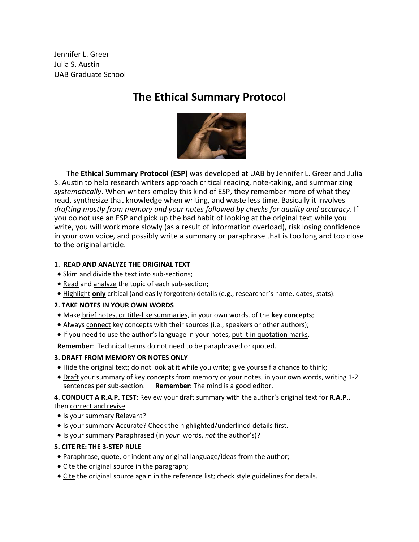Jennifer L. Greer Julia S. Austin UAB Graduate School

## **The Ethical Summary Protocol**



The **Ethical Summary Protocol (ESP)** was developed at UAB by Jennifer L. Greer and Julia S. Austin to help research writers approach critical reading, note-taking, and summarizing *systematically*. When writers employ this kind of ESP, they remember more of what they read, synthesize that knowledge when writing, and waste less time. Basically it involves *drafting mostly from memory and your notes followed by checks for quality and accuracy*. If you do not use an ESP and pick up the bad habit of looking at the original text while you write, you will work more slowly (as a result of information overload), risk losing confidence in your own voice, and possibly write a summary or paraphrase that is too long and too close to the original article.

#### **1. READ AND ANALYZE THE ORIGINAL TEXT**

- Skim and divide the text into sub-sections;
- Read and analyze the topic of each sub-section;
- Highlight **only** critical (and easily forgotten) details (e.g., researcher's name, dates, stats).

### **2. TAKE NOTES IN YOUR OWN WORDS**

- Make brief notes, or title-like summaries, in your own words, of the **key concepts**;
- Always connect key concepts with their sources (i.e., speakers or other authors);
- If you need to use the author's language in your notes, put it in quotation marks.

**Remember**: Technical terms do not need to be paraphrased or quoted.

### **3. DRAFT FROM MEMORY OR NOTES ONLY**

- Hide the original text; do not look at it while you write; give yourself a chance to think;
- Draft your summary of key concepts from memory or your notes, in your own words, writing 1-2 sentences per sub-section. **Remember**: The mind is a good editor.

**4. CONDUCT A R.A.P. TEST**: Review your draft summary with the author's original text for **R.A.P.**, then correct and revise.

- Is your summary **R**elevant?
- Is your summary **A**ccurate? Check the highlighted/underlined details first.
- Is your summary **P**araphrased (in *your* words, *not* the author's)?
- **5. CITE RE: THE 3-STEP RULE**
- Paraphrase, quote, or indent any original language/ideas from the author;
- Cite the original source in the paragraph;
- Cite the original source again in the reference list; check style guidelines for details.